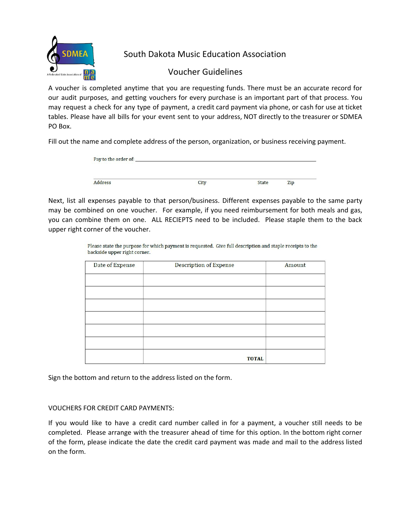

South Dakota Music Education Association

## Voucher Guidelines

A voucher is completed anytime that you are requesting funds. There must be an accurate record for our audit purposes, and getting vouchers for every purchase is an important part of that process. You may request a check for any type of payment, a credit card payment via phone, or cash for use at ticket tables. Please have all bills for your event sent to your address, NOT directly to the treasurer or SDMEA PO Box.

Fill out the name and complete address of the person, organization, or business receiving payment.

| Pay to the order of:<br>1 AM 1 ANNA 1160 MIAN IAN A |      |              |
|-----------------------------------------------------|------|--------------|
|                                                     |      | Zip          |
|                                                     | City | <b>State</b> |

Next, list all expenses payable to that person/business. Different expenses payable to the same party may be combined on one voucher. For example, if you need reimbursement for both meals and gas, you can combine them on one. ALL RECIEPTS need to be included. Please staple them to the back upper right corner of the voucher.

> Please state the purpose for which payment is requested. Give full description and staple receipts to the backside upper right corner.

| Date of Expense | <b>Description of Expense</b> | Amount |
|-----------------|-------------------------------|--------|
|                 |                               |        |
|                 |                               |        |
|                 |                               |        |
|                 |                               |        |
|                 |                               |        |
|                 |                               |        |
|                 | <b>TOTAL</b>                  |        |

Sign the bottom and return to the address listed on the form.

## VOUCHERS FOR CREDIT CARD PAYMENTS:

If you would like to have a credit card number called in for a payment, a voucher still needs to be completed. Please arrange with the treasurer ahead of time for this option. In the bottom right corner of the form, please indicate the date the credit card payment was made and mail to the address listed on the form.